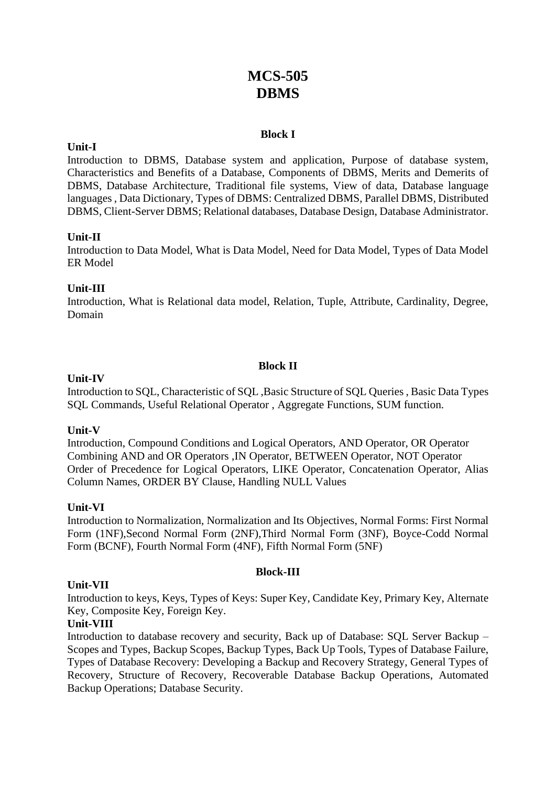# **MCS-505 DBMS**

# **Block I**

# **Unit-I**

Introduction to DBMS, Database system and application, Purpose of database system, Characteristics and Benefits of a Database, Components of DBMS, Merits and Demerits of DBMS, Database Architecture, Traditional file systems, View of data, Database language languages , Data Dictionary, Types of DBMS: Centralized DBMS, Parallel DBMS, Distributed DBMS, Client-Server DBMS; Relational databases, Database Design, Database Administrator.

#### **Unit-II**

Introduction to Data Model, What is Data Model, Need for Data Model, Types of Data Model ER Model

# **Unit-III**

Introduction, What is Relational data model, Relation, Tuple, Attribute, Cardinality, Degree, Domain

#### **Block II**

#### **Unit-IV**

Introduction to SQL, Characteristic of SQL ,Basic Structure of SQL Queries , Basic Data Types SQL Commands, Useful Relational Operator , Aggregate Functions, SUM function.

#### **Unit-V**

Introduction, Compound Conditions and Logical Operators, AND Operator, OR Operator Combining AND and OR Operators ,IN Operator, BETWEEN Operator, NOT Operator Order of Precedence for Logical Operators, LIKE Operator, Concatenation Operator, Alias Column Names, ORDER BY Clause, Handling NULL Values

#### **Unit-VI**

Introduction to Normalization, Normalization and Its Objectives, Normal Forms: First Normal Form (1NF),Second Normal Form (2NF),Third Normal Form (3NF), Boyce-Codd Normal Form (BCNF), Fourth Normal Form (4NF), Fifth Normal Form (5NF)

#### **Block-III**

#### **Unit-VII**

Introduction to keys, Keys, Types of Keys: Super Key, Candidate Key, Primary Key, Alternate Key, Composite Key, Foreign Key.

#### **Unit-VIII**

Introduction to database recovery and security, Back up of Database: SQL Server Backup – Scopes and Types, Backup Scopes, Backup Types, Back Up Tools, Types of Database Failure, Types of Database Recovery: Developing a Backup and Recovery Strategy, General Types of Recovery, Structure of Recovery, Recoverable Database Backup Operations, Automated Backup Operations; Database Security.